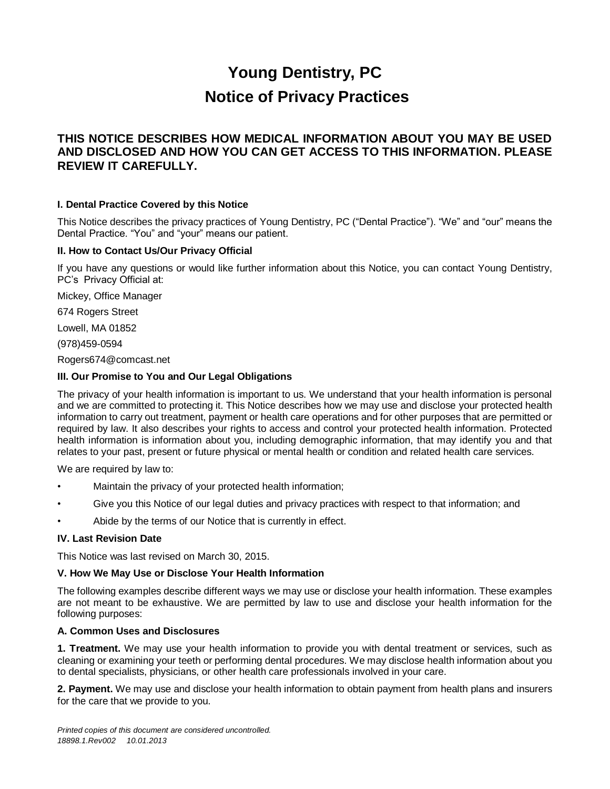# **Young Dentistry, PC Notice of Privacy Practices**

# **THIS NOTICE DESCRIBES HOW MEDICAL INFORMATION ABOUT YOU MAY BE USED AND DISCLOSED AND HOW YOU CAN GET ACCESS TO THIS INFORMATION. PLEASE REVIEW IT CAREFULLY.**

#### **I. Dental Practice Covered by this Notice**

This Notice describes the privacy practices of Young Dentistry, PC ("Dental Practice"). "We" and "our" means the Dental Practice. "You" and "your" means our patient.

#### **II. How to Contact Us/Our Privacy Official**

If you have any questions or would like further information about this Notice, you can contact Young Dentistry, PC's Privacy Official at:

Mickey, Office Manager

674 Rogers Street

Lowell, MA 01852

(978)459-0594

Rogers674@comcast.net

#### **III. Our Promise to You and Our Legal Obligations**

The privacy of your health information is important to us. We understand that your health information is personal and we are committed to protecting it. This Notice describes how we may use and disclose your protected health information to carry out treatment, payment or health care operations and for other purposes that are permitted or required by law. It also describes your rights to access and control your protected health information. Protected health information is information about you, including demographic information, that may identify you and that relates to your past, present or future physical or mental health or condition and related health care services.

We are required by law to:

- Maintain the privacy of your protected health information;
- Give you this Notice of our legal duties and privacy practices with respect to that information; and
- Abide by the terms of our Notice that is currently in effect.

#### **IV. Last Revision Date**

This Notice was last revised on March 30, 2015.

#### **V. How We May Use or Disclose Your Health Information**

The following examples describe different ways we may use or disclose your health information. These examples are not meant to be exhaustive. We are permitted by law to use and disclose your health information for the following purposes:

#### **A. Common Uses and Disclosures**

**1. Treatment.** We may use your health information to provide you with dental treatment or services, such as cleaning or examining your teeth or performing dental procedures. We may disclose health information about you to dental specialists, physicians, or other health care professionals involved in your care.

**2. Payment.** We may use and disclose your health information to obtain payment from health plans and insurers for the care that we provide to you.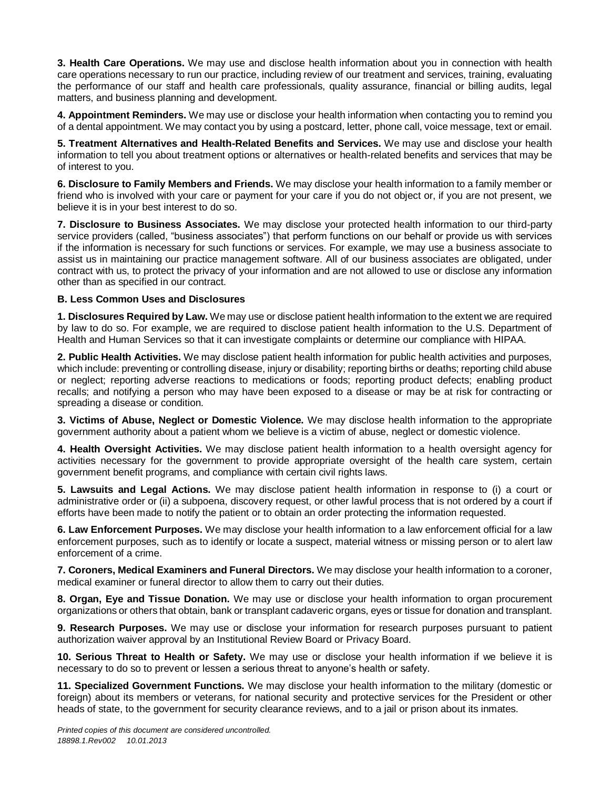**3. Health Care Operations.** We may use and disclose health information about you in connection with health care operations necessary to run our practice, including review of our treatment and services, training, evaluating the performance of our staff and health care professionals, quality assurance, financial or billing audits, legal matters, and business planning and development.

**4. Appointment Reminders.** We may use or disclose your health information when contacting you to remind you of a dental appointment. We may contact you by using a postcard, letter, phone call, voice message, text or email.

**5. Treatment Alternatives and Health-Related Benefits and Services.** We may use and disclose your health information to tell you about treatment options or alternatives or health-related benefits and services that may be of interest to you.

**6. Disclosure to Family Members and Friends.** We may disclose your health information to a family member or friend who is involved with your care or payment for your care if you do not object or, if you are not present, we believe it is in your best interest to do so.

**7. Disclosure to Business Associates.** We may disclose your protected health information to our third-party service providers (called, "business associates") that perform functions on our behalf or provide us with services if the information is necessary for such functions or services. For example, we may use a business associate to assist us in maintaining our practice management software. All of our business associates are obligated, under contract with us, to protect the privacy of your information and are not allowed to use or disclose any information other than as specified in our contract.

#### **B. Less Common Uses and Disclosures**

**1. Disclosures Required by Law.** We may use or disclose patient health information to the extent we are required by law to do so. For example, we are required to disclose patient health information to the U.S. Department of Health and Human Services so that it can investigate complaints or determine our compliance with HIPAA.

**2. Public Health Activities.** We may disclose patient health information for public health activities and purposes, which include: preventing or controlling disease, injury or disability; reporting births or deaths; reporting child abuse or neglect; reporting adverse reactions to medications or foods; reporting product defects; enabling product recalls; and notifying a person who may have been exposed to a disease or may be at risk for contracting or spreading a disease or condition.

**3. Victims of Abuse, Neglect or Domestic Violence.** We may disclose health information to the appropriate government authority about a patient whom we believe is a victim of abuse, neglect or domestic violence.

**4. Health Oversight Activities.** We may disclose patient health information to a health oversight agency for activities necessary for the government to provide appropriate oversight of the health care system, certain government benefit programs, and compliance with certain civil rights laws.

**5. Lawsuits and Legal Actions.** We may disclose patient health information in response to (i) a court or administrative order or (ii) a subpoena, discovery request, or other lawful process that is not ordered by a court if efforts have been made to notify the patient or to obtain an order protecting the information requested.

**6. Law Enforcement Purposes.** We may disclose your health information to a law enforcement official for a law enforcement purposes, such as to identify or locate a suspect, material witness or missing person or to alert law enforcement of a crime.

**7. Coroners, Medical Examiners and Funeral Directors.** We may disclose your health information to a coroner, medical examiner or funeral director to allow them to carry out their duties.

**8. Organ, Eye and Tissue Donation.** We may use or disclose your health information to organ procurement organizations or others that obtain, bank or transplant cadaveric organs, eyes or tissue for donation and transplant.

**9. Research Purposes.** We may use or disclose your information for research purposes pursuant to patient authorization waiver approval by an Institutional Review Board or Privacy Board.

**10. Serious Threat to Health or Safety.** We may use or disclose your health information if we believe it is necessary to do so to prevent or lessen a serious threat to anyone's health or safety.

**11. Specialized Government Functions.** We may disclose your health information to the military (domestic or foreign) about its members or veterans, for national security and protective services for the President or other heads of state, to the government for security clearance reviews, and to a jail or prison about its inmates.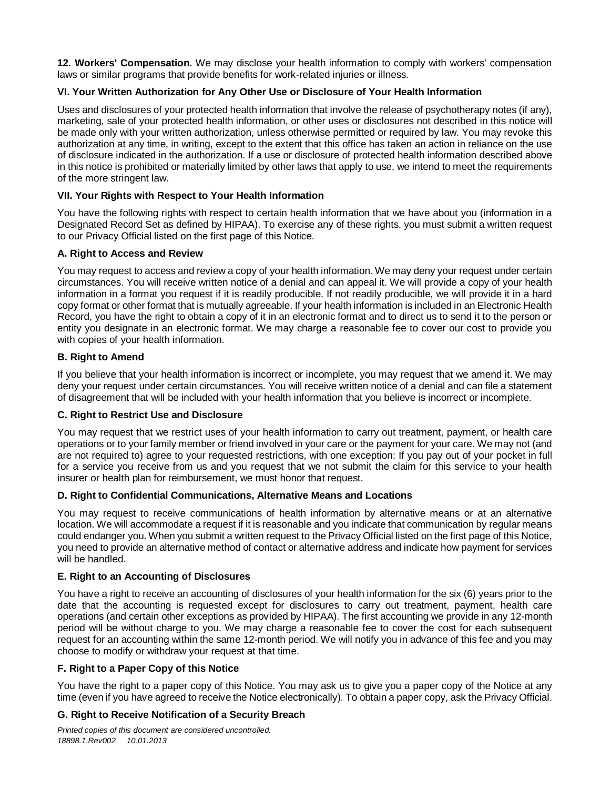**12. Workers' Compensation.** We may disclose your health information to comply with workers' compensation laws or similar programs that provide benefits for work-related injuries or illness.

### **VI. Your Written Authorization for Any Other Use or Disclosure of Your Health Information**

Uses and disclosures of your protected health information that involve the release of psychotherapy notes (if any), marketing, sale of your protected health information, or other uses or disclosures not described in this notice will be made only with your written authorization, unless otherwise permitted or required by law. You may revoke this authorization at any time, in writing, except to the extent that this office has taken an action in reliance on the use of disclosure indicated in the authorization. If a use or disclosure of protected health information described above in this notice is prohibited or materially limited by other laws that apply to use, we intend to meet the requirements of the more stringent law.

### **VII. Your Rights with Respect to Your Health Information**

You have the following rights with respect to certain health information that we have about you (information in a Designated Record Set as defined by HIPAA). To exercise any of these rights, you must submit a written request to our Privacy Official listed on the first page of this Notice.

#### **A. Right to Access and Review**

You may request to access and review a copy of your health information. We may deny your request under certain circumstances. You will receive written notice of a denial and can appeal it. We will provide a copy of your health information in a format you request if it is readily producible. If not readily producible, we will provide it in a hard copy format or other format that is mutually agreeable. If your health information is included in an Electronic Health Record, you have the right to obtain a copy of it in an electronic format and to direct us to send it to the person or entity you designate in an electronic format. We may charge a reasonable fee to cover our cost to provide you with copies of your health information.

# **B. Right to Amend**

If you believe that your health information is incorrect or incomplete, you may request that we amend it. We may deny your request under certain circumstances. You will receive written notice of a denial and can file a statement of disagreement that will be included with your health information that you believe is incorrect or incomplete.

#### **C. Right to Restrict Use and Disclosure**

You may request that we restrict uses of your health information to carry out treatment, payment, or health care operations or to your family member or friend involved in your care or the payment for your care. We may not (and are not required to) agree to your requested restrictions, with one exception: If you pay out of your pocket in full for a service you receive from us and you request that we not submit the claim for this service to your health insurer or health plan for reimbursement, we must honor that request.

#### **D. Right to Confidential Communications, Alternative Means and Locations**

You may request to receive communications of health information by alternative means or at an alternative location. We will accommodate a request if it is reasonable and you indicate that communication by regular means could endanger you. When you submit a written request to the Privacy Official listed on the first page of this Notice, you need to provide an alternative method of contact or alternative address and indicate how payment for services will be handled.

#### **E. Right to an Accounting of Disclosures**

You have a right to receive an accounting of disclosures of your health information for the six (6) years prior to the date that the accounting is requested except for disclosures to carry out treatment, payment, health care operations (and certain other exceptions as provided by HIPAA). The first accounting we provide in any 12-month period will be without charge to you. We may charge a reasonable fee to cover the cost for each subsequent request for an accounting within the same 12-month period. We will notify you in advance of this fee and you may choose to modify or withdraw your request at that time.

# **F. Right to a Paper Copy of this Notice**

You have the right to a paper copy of this Notice. You may ask us to give you a paper copy of the Notice at any time (even if you have agreed to receive the Notice electronically). To obtain a paper copy, ask the Privacy Official.

# **G. Right to Receive Notification of a Security Breach**

*Printed copies of this document are considered uncontrolled. 18898.1.Rev002 10.01.2013*